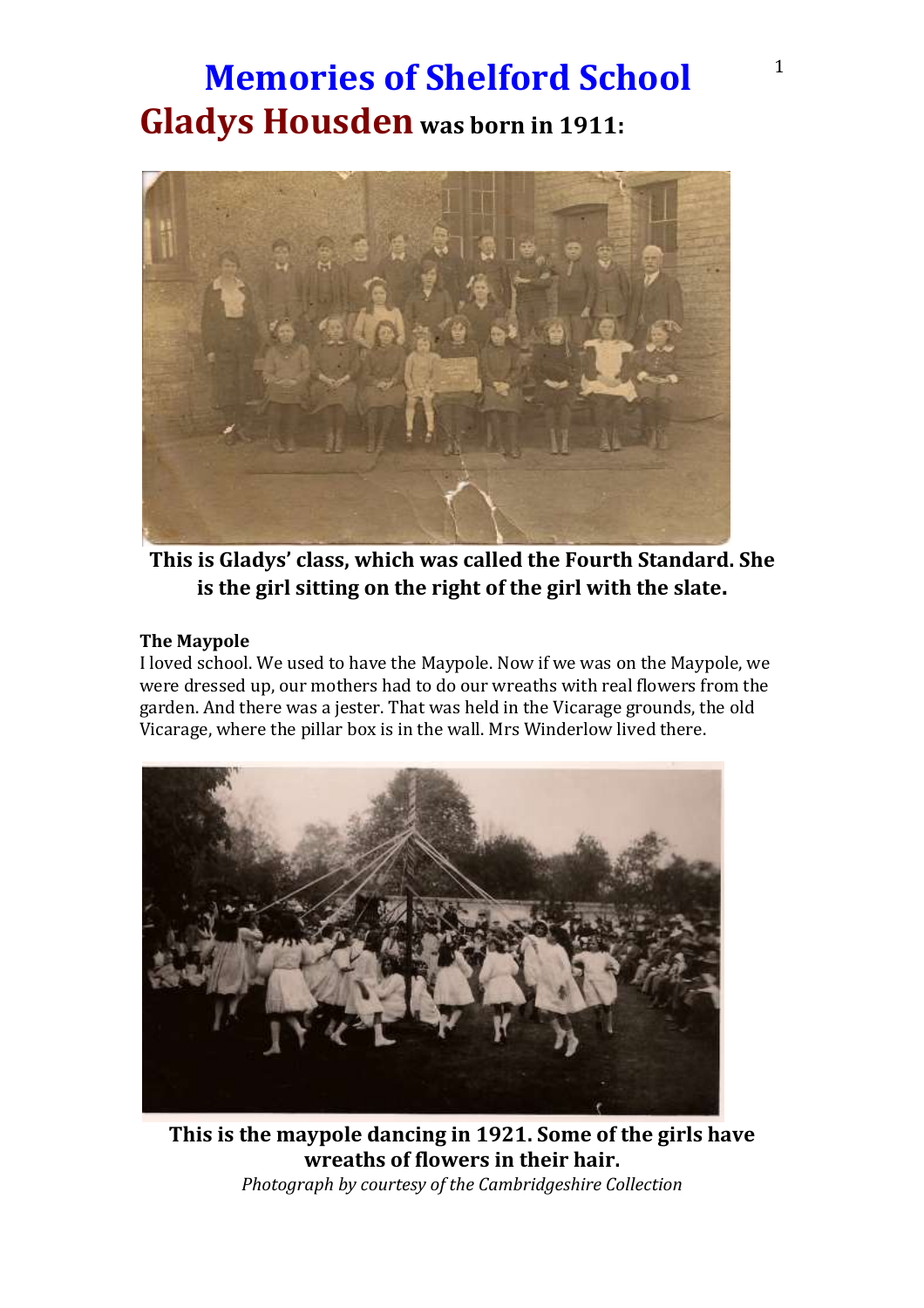### **Memories of Shelford School**<sup>1</sup> **Gladys Housden was born in 1911:**



**This is Gladys' class, which was called the Fourth Standard. She is the girl sitting on the right of the girl with the slate.**

#### **The Maypole**

I loved school. We used to have the Maypole. Now if we was on the Maypole, we were dressed up, our mothers had to do our wreaths with real flowers from the garden. And there was a jester. That was held in the Vicarage grounds, the old Vicarage, where the pillar box is in the wall. Mrs Winderlow lived there.



**This is the maypole dancing in 1921. Some of the girls have wreaths of flowers in their hair.** *Photograph by courtesy of the Cambridgeshire Collection*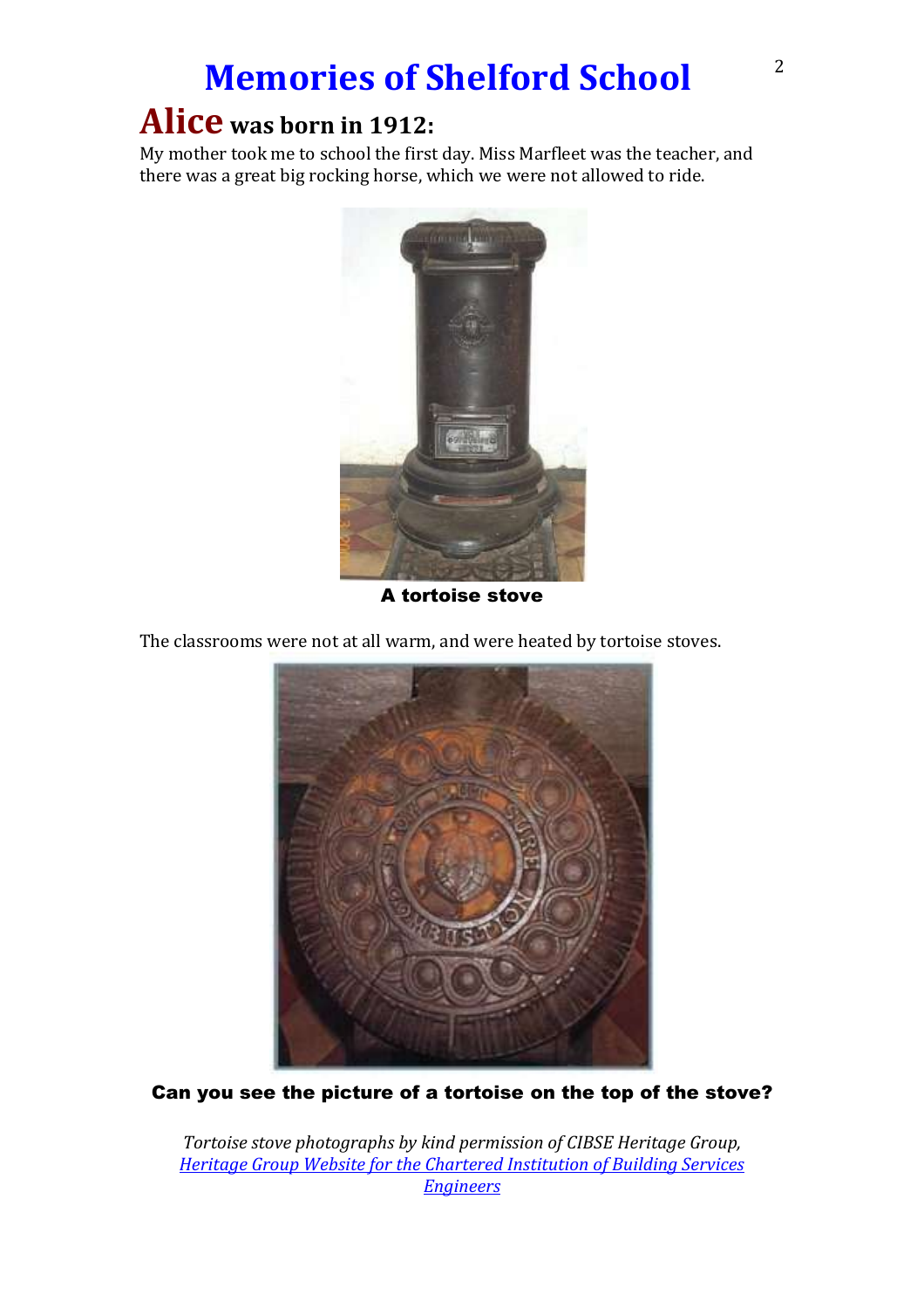## **Memories of Shelford School**<sup>2</sup>

### **Alice was born in 1912:**

My mother took me to school the first day. Miss Marfleet was the teacher, and there was a great big rocking horse, which we were not allowed to ride.



A tortoise stove

The classrooms were not at all warm, and were heated by tortoise stoves.



Can you see the picture of a tortoise on the top of the stove?

*Tortoise stove photographs by kind permission of CIBSE Heritage Group, [Heritage Group Website for the Chartered Institution of Building Services](http://www.hevac-heritage.org/items_of_interest/heating/churches_&_chapels/rodney_stoke_church/rodney_stoke_church.htm)  [Engineers](http://www.hevac-heritage.org/items_of_interest/heating/churches_&_chapels/rodney_stoke_church/rodney_stoke_church.htm)*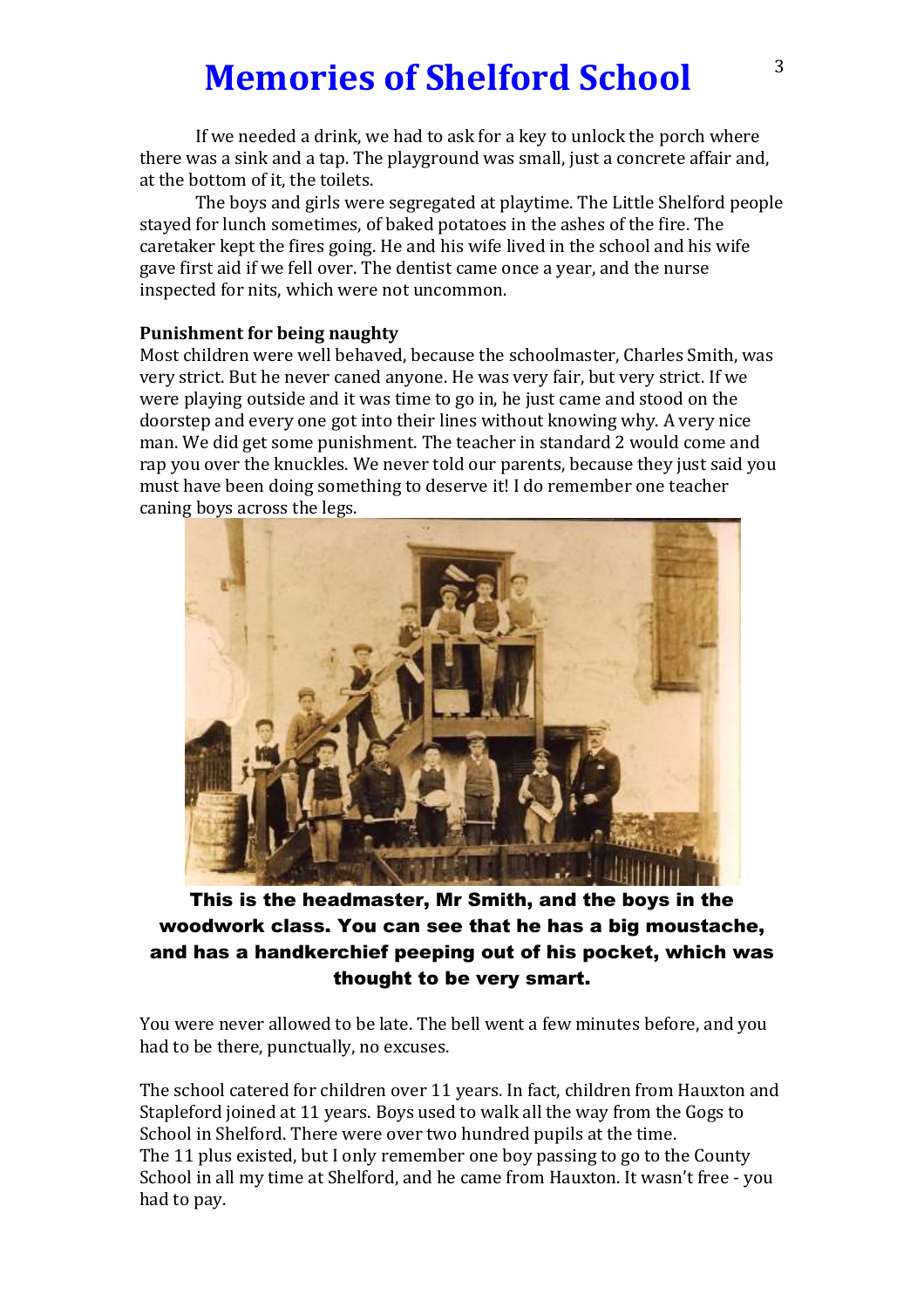### **Memories of Shelford School**  $3^3$

If we needed a drink, we had to ask for a key to unlock the porch where there was a sink and a tap. The playground was small, just a concrete affair and, at the bottom of it, the toilets.

The boys and girls were segregated at playtime. The Little Shelford people stayed for lunch sometimes, of baked potatoes in the ashes of the fire. The caretaker kept the fires going. He and his wife lived in the school and his wife gave first aid if we fell over. The dentist came once a year, and the nurse inspected for nits, which were not uncommon.

#### **Punishment for being naughty**

Most children were well behaved, because the schoolmaster, Charles Smith, was very strict. But he never caned anyone. He was very fair, but very strict. If we were playing outside and it was time to go in, he just came and stood on the doorstep and every one got into their lines without knowing why. A very nice man. We did get some punishment. The teacher in standard 2 would come and rap you over the knuckles. We never told our parents, because they just said you must have been doing something to deserve it! I do remember one teacher caning boys across the legs.



### This is the headmaster, Mr Smith, and the boys in the woodwork class. You can see that he has a big moustache, and has a handkerchief peeping out of his pocket, which was thought to be very smart.

You were never allowed to be late. The bell went a few minutes before, and you had to be there, punctually, no excuses.

The school catered for children over 11 years. In fact, children from Hauxton and Stapleford joined at 11 years. Boys used to walk all the way from the Gogs to School in Shelford. There were over two hundred pupils at the time. The 11 plus existed, but I only remember one boy passing to go to the County School in all my time at Shelford, and he came from Hauxton. It wasn't free - you had to pay.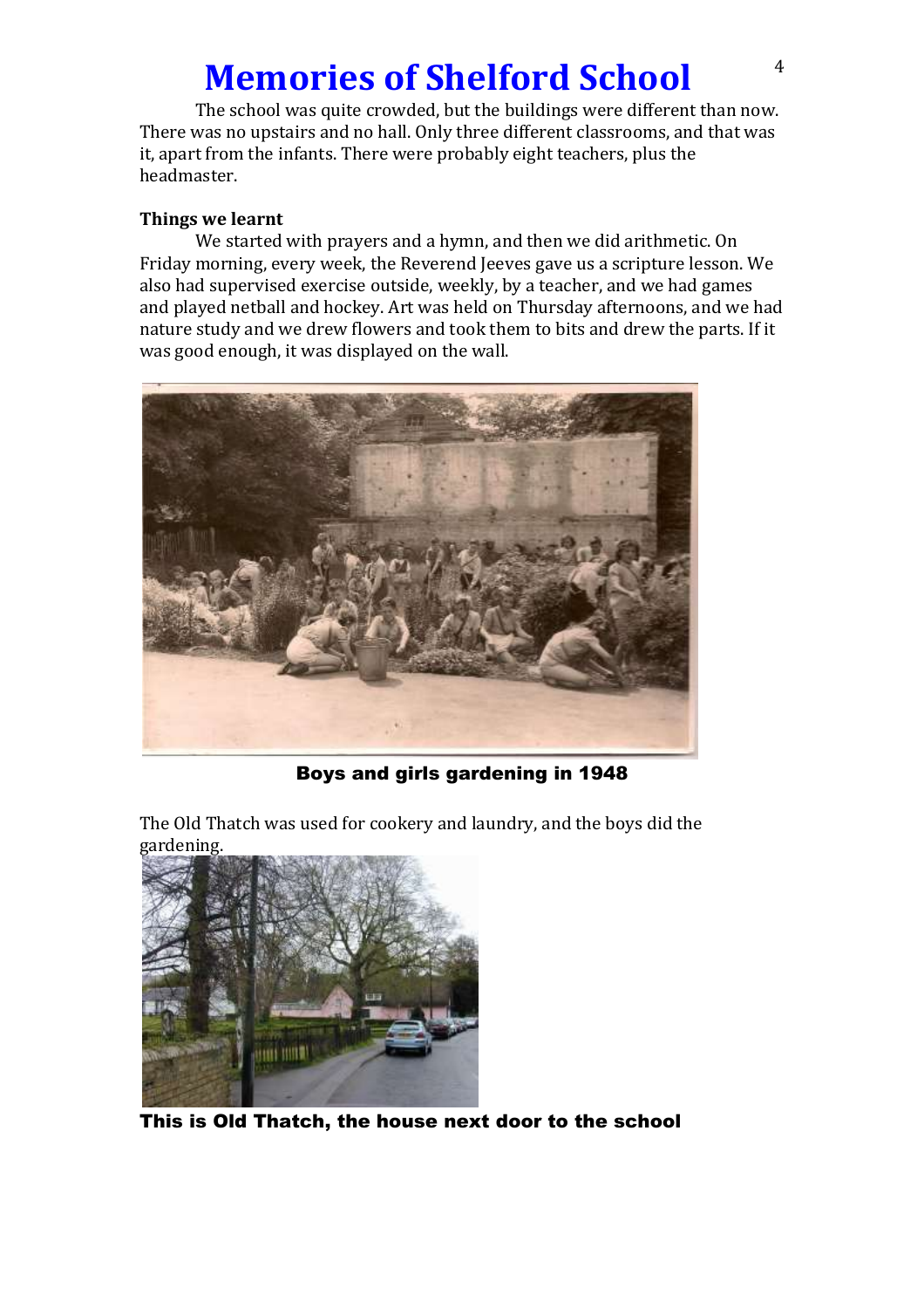### **Memories of Shelford School** <sup>4</sup>

The school was quite crowded, but the buildings were different than now. There was no upstairs and no hall. Only three different classrooms, and that was it, apart from the infants. There were probably eight teachers, plus the headmaster.

#### **Things we learnt**

We started with prayers and a hymn, and then we did arithmetic. On Friday morning, every week, the Reverend Jeeves gave us a scripture lesson. We also had supervised exercise outside, weekly, by a teacher, and we had games and played netball and hockey. Art was held on Thursday afternoons, and we had nature study and we drew flowers and took them to bits and drew the parts. If it was good enough, it was displayed on the wall.



Boys and girls gardening in 1948

The Old Thatch was used for cookery and laundry, and the boys did the gardening.



This is Old Thatch, the house next door to the school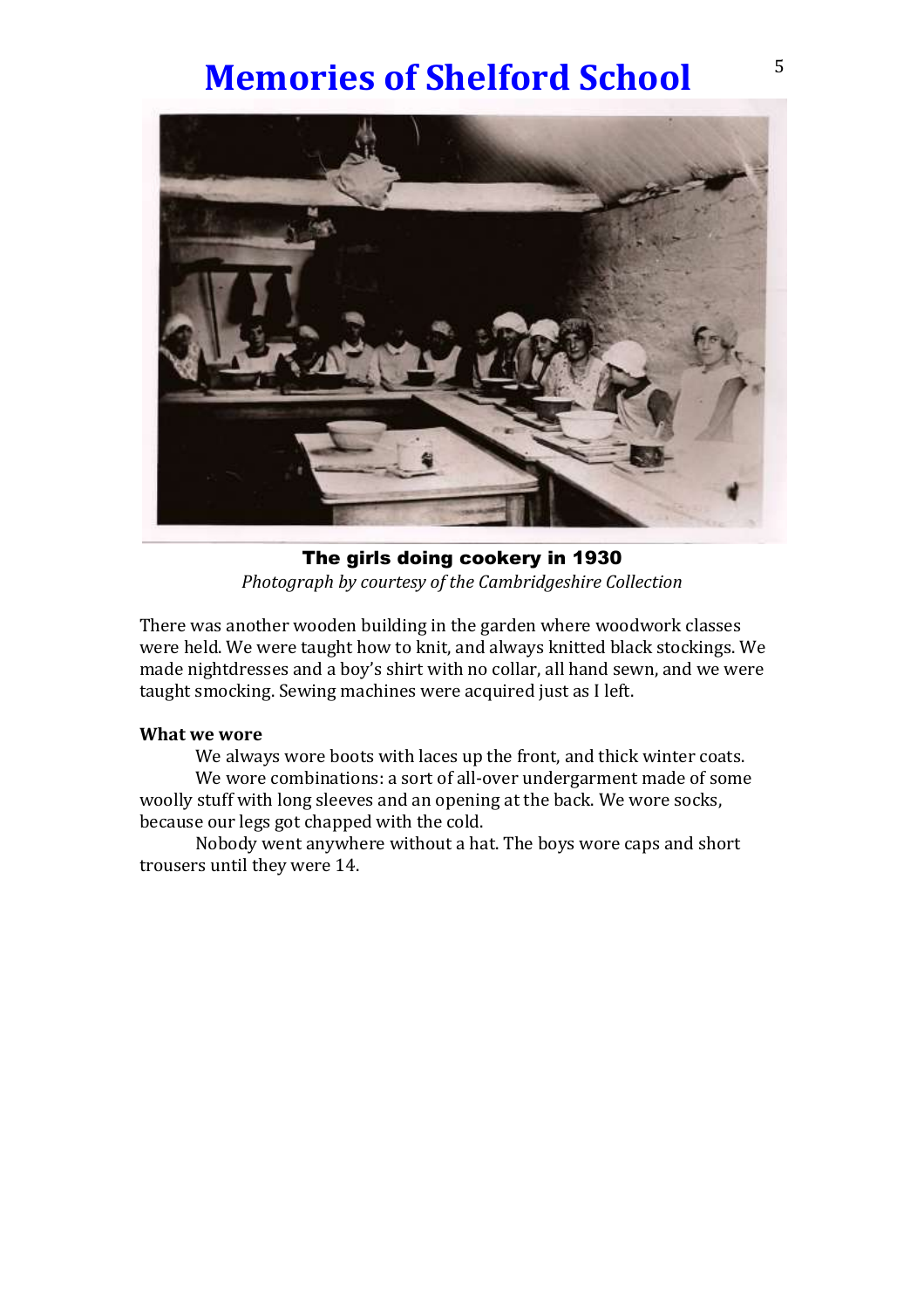## **Memories of Shelford School**<sup>5</sup>



The girls doing cookery in 1930 *Photograph by courtesy of the Cambridgeshire Collection*

There was another wooden building in the garden where woodwork classes were held. We were taught how to knit, and always knitted black stockings. We made nightdresses and a boy's shirt with no collar, all hand sewn, and we were taught smocking. Sewing machines were acquired just as I left.

#### **What we wore**

We always wore boots with laces up the front, and thick winter coats.

We wore combinations: a sort of all-over undergarment made of some woolly stuff with long sleeves and an opening at the back. We wore socks, because our legs got chapped with the cold.

Nobody went anywhere without a hat. The boys wore caps and short trousers until they were 14.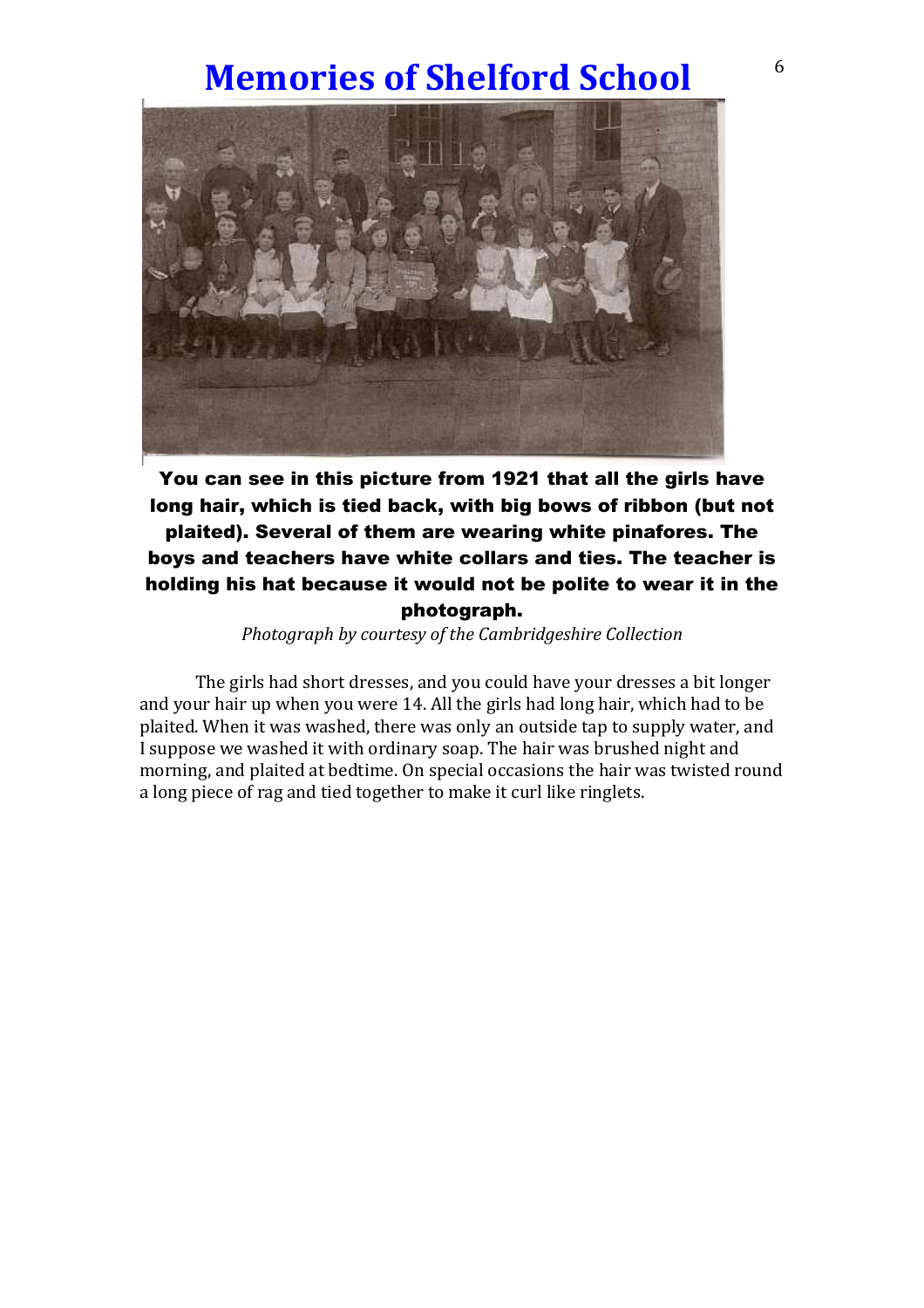### **Memories of Shelford School** 6



You can see in this picture from 1921 that all the girls have long hair, which is tied back, with big bows of ribbon (but not plaited). Several of them are wearing white pinafores. The boys and teachers have white collars and ties. The teacher is holding his hat because it would not be polite to wear it in the photograph.

*Photograph by courtesy of the Cambridgeshire Collection*

The girls had short dresses, and you could have your dresses a bit longer and your hair up when you were 14. All the girls had long hair, which had to be plaited. When it was washed, there was only an outside tap to supply water, and I suppose we washed it with ordinary soap. The hair was brushed night and morning, and plaited at bedtime. On special occasions the hair was twisted round a long piece of rag and tied together to make it curl like ringlets.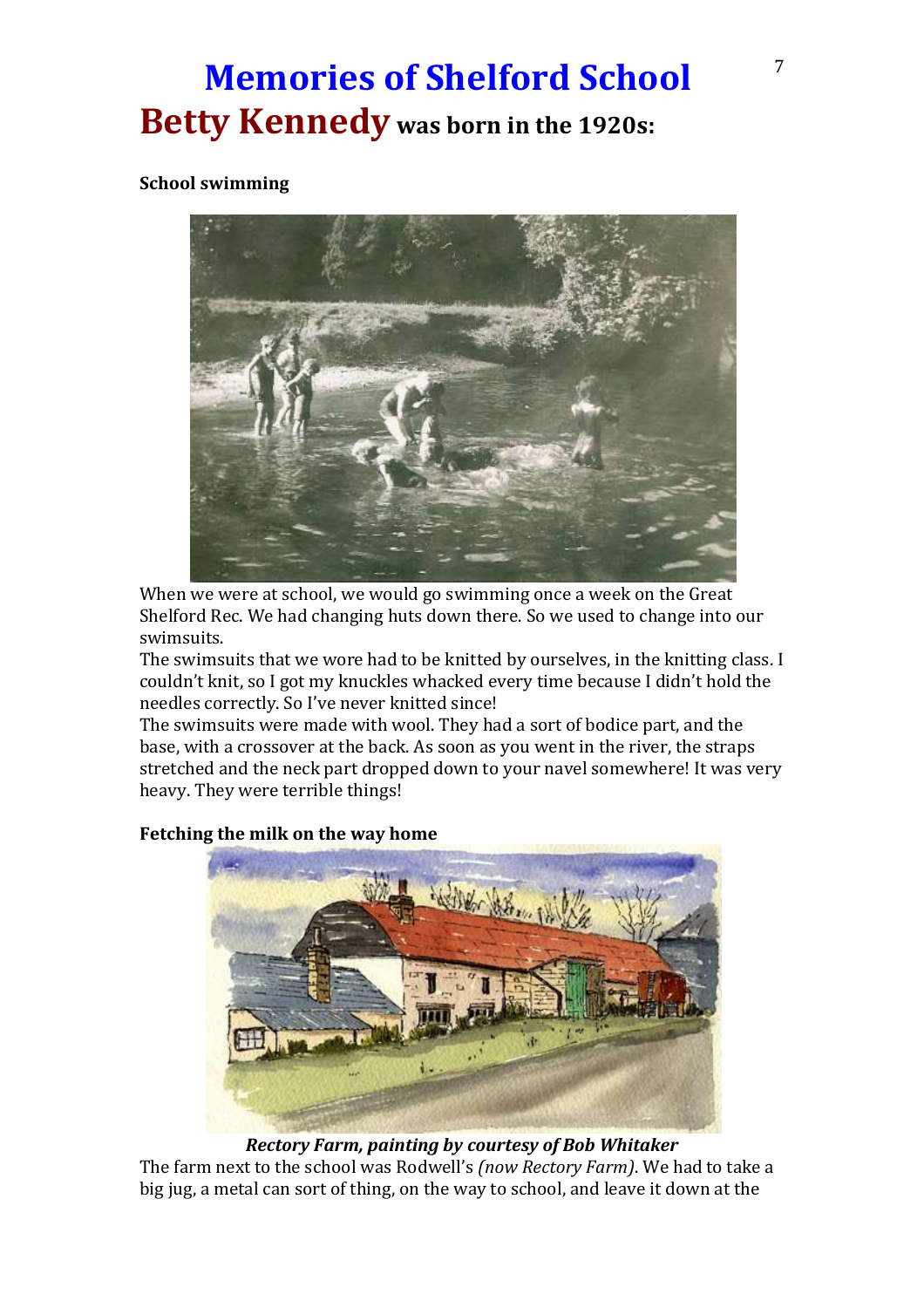## **Memories of Shelford School**<sup>7</sup> **Betty Kennedy was born in the 1920s:**

#### **School swimming**



When we were at school, we would go swimming once a week on the Great Shelford Rec. We had changing huts down there. So we used to change into our swimsuits.

The swimsuits that we wore had to be knitted by ourselves, in the knitting class. I couldn't knit, so I got my knuckles whacked every time because I didn't hold the needles correctly. So I've never knitted since!

The swimsuits were made with wool. They had a sort of bodice part, and the base, with a crossover at the back. As soon as you went in the river, the straps stretched and the neck part dropped down to your navel somewhere! It was very heavy. They were terrible things!



#### **Fetching the milk on the way home**

*Rectory Farm, painting by courtesy of Bob Whitaker*

The farm next to the school was Rodwell's *(now Rectory Farm)*. We had to take a big jug, a metal can sort of thing, on the way to school, and leave it down at the